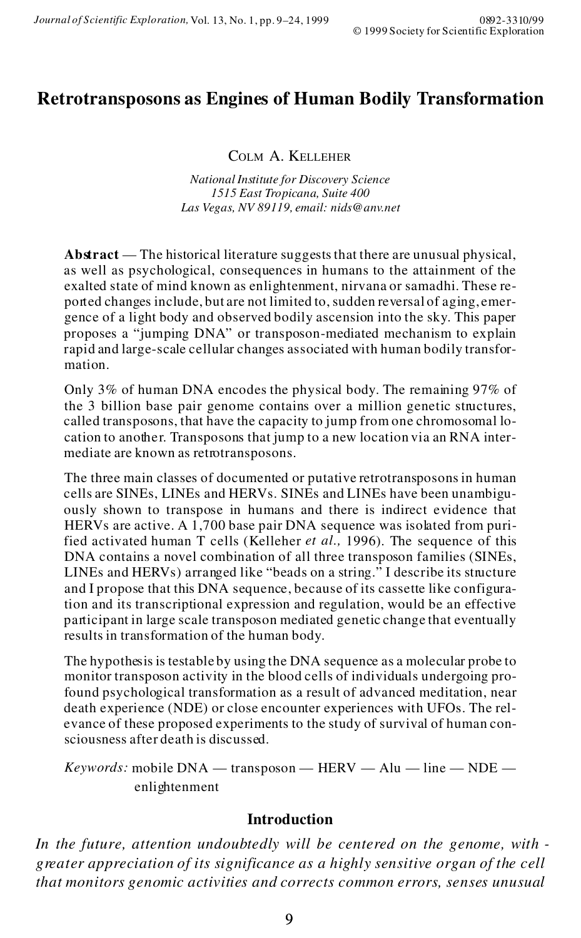# **Retrotransposons as Engines of Human Bodily Transformation**

COLM A. KELLEHER

*National Institute for Discovery Science 1515 East Tropicana, Suite 400 Las Vegas, NV 89119, email: nids@anv.net*

**Abstract** — The historical literature suggests that there are unusual physical, as well as psychological, consequences in humans to the attainment of the exalted state of mind known as enlightenment, nirvana or samadhi. These re po rted changes include, but are not limited to, sudden reversal of aging, emer gence of a light body and observed bodily ascension into the sky. This paper proposes a "jumping DNA" or transposon-mediated mechanism to explain rapid and large-scale cellular changes associated with human bodily transfor mation.

Only 3% of human DNA encodes the physical body. The remaining 97% of the 3 billion base pair genome contains over a million genetic structures, called transposons, that have the capacity to jump from one chromosomal location to another. Transposons that jump to a new location via an RNA intermediate are known as retrotransposons.

The three main classes of documented or putative retrotransposons in human cells are SINEs, LINEs and HERVs. SINEs and LINEs have been unambigu ously shown to transpose in humans and there is indirect evidence that HERVs are active. A 1,700 base pair DNA sequence was isolated from purified activated human T cells (Kelleher *et al.,* 1996). The sequence of this DNA contains a novel combination of all three transposon families (SINEs, LINEs and HERVs) arranged like "beads on a string." I describe its structure and I propose that this DNA sequence, because of its cassette like configuration and its transcriptional expression and regulation, would be an effective participant in large scale transposon mediated genetic change that eventually results in transformation of the human body.

The hypothesis is testable by using the DNA sequence as a molecular probe to monitor transposon activity in the blood cells of individuals undergoing profound psychological transformation as a result of advanced meditation, near death experience (NDE) or close encounter experiences with UFOs. The rel evance of these proposed experiments to the study of survival of human con sciousness after death is discussed.

*Keywords:* mobile DNA — transposon — HERV — Alu — line — NDE enlightenment

### **Introduction**

*In the future, attention undoubtedly will be centered on the genome, with greater appreciation of its significance as a highly sensitive organ of the cell that monitors genomic activities and corrects common errors, senses unusual*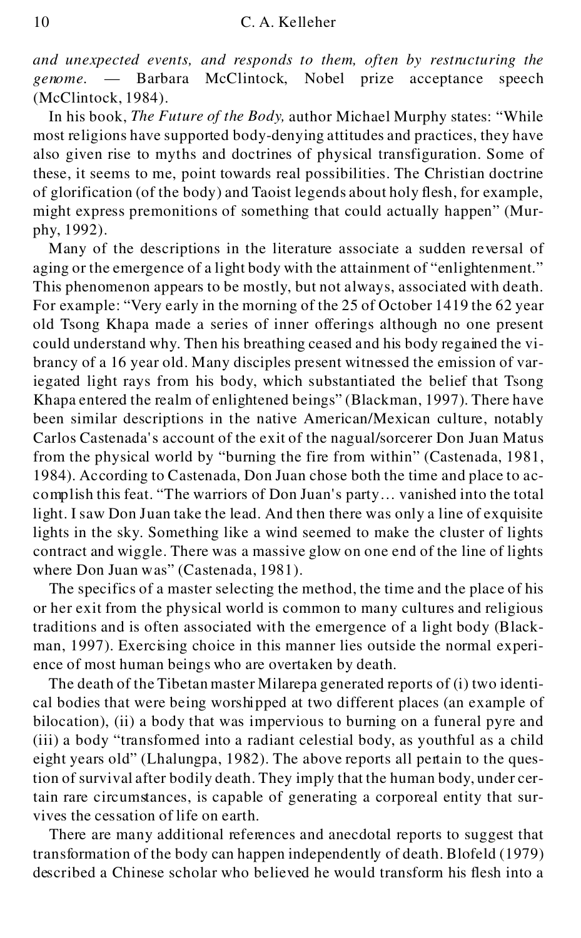*and unexpected events, and responds to them, often by restructuring the genome.* — Barbara McClintock, Nobel prize acceptance speech (McClintock, 1984).

In his book, *The Future of the Body,* author Michael Murphy states: "While most religions have supported body-denying attitudes and practices, they have also given rise to myths and doctrines of physical transfiguration. Some of these, it seems to me, point towards real possibilities. The Christian doctrine of glorification (of the body) and Taoist legends about holy flesh, for example, might express premonitions of something that could actually happen" (Murphy, 1992).

Many of the descriptions in the literature associate a sudden reversal of aging or the emergence of a light body with the attainment of "enlightenment." This phenomenon appears to be mostly, but not always, associated with death. For example: "Very early in the morning of the 25 of October 1419 the 62 year old Tsong Khapa made a series of inner offerings although no one present could understand why. Then his breathing ceased and his body regained the vibrancy of a 16 year old. Many disciples present witnessed the emission of variegated light rays from his body, which substantiated the belief that Tsong Khapa entered the realm of enlightened beings" (Blackman, 1997). There have been similar descriptions in the native American/Mexican culture, notably Carlos Castenada's account of the exit of the nagual/sorcerer Don Juan Matus from the physical world by "burning the fire from within" (Castenada, 1981, 1984). According to Castenada, Don Juan chose both the time and place to accomplish this feat. "The warriors of Don Juan's party… vanished into the total light. I saw Don Juan take the lead. And then there was only a line of exquisite lights in the sky. Something like a wind seemed to make the cluster of lights contract and wiggle. There was a massive glow on one end of the line of lights where Don Juan was" (Castenada, 1981).

The specifics of a master selecting the method, the time and the place of his or her exit from the physical world is common to many cultures and religious traditions and is often associated with the emergence of a light body (Blackman, 1997). Exercising choice in this manner lies outside the normal experience of most human beings who are overtaken by death.

The death of the Tibetan master Milarepa generated reports of (i) two identical bodies that were being worshipped at two different places (an example of bilocation), (ii) a body that was impervious to burning on a funeral pyre and (iii) a body "transformed into a radiant celestial body, as youthful as a child eight years old" (Lhalungpa, 1982). The above reports all pertain to the question of survival after bodily death. They imply that the human body, under certain rare circumstances, is capable of generating a corporeal entity that survives the cessation of life on earth.

There are many additional references and anecdotal reports to suggest that transformation of the body can happen independently of death. Blofeld (1979) described a Chinese scholar who believed he would transform his flesh into a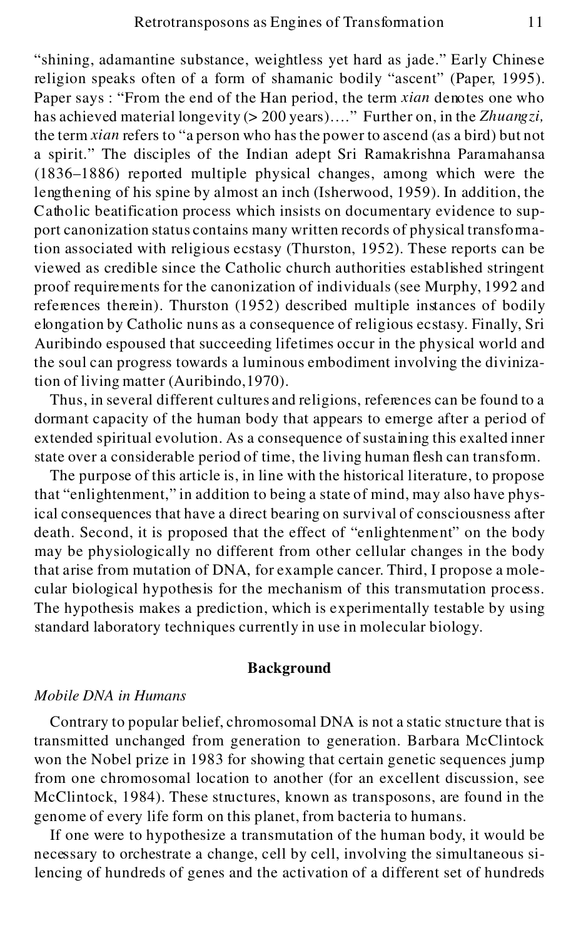"shining, adamantine substance, weightless yet hard as jade." Early Chinese religion speaks often of a form of shamanic bodily "ascent" (Paper, 1995). Paper says : "From the end of the Han period, the term *xian* denotes one who has achieved material longevity (> 200 years)…." Further on, in the *Zhuangzi,* the term *xian* refers to "a person who has the power to ascend (as a bird) but not a spirit." The disciples of the Indian adept Sri Ramakrishna Paramahansa (1836–1886) reported multiple physical changes, among which were the lengthening of his spine by almost an inch (Isherwood, 1959). In addition, the Catholic beatification process which insists on documentary evidence to support canonization status contains many written records of physical transformation associated with religious ecstasy (Thurston, 1952). These reports can be viewed as credible since the Catholic church authorities established stringent proof requirements for the canonization of individuals (see Murphy, 1992 and references therein). Thurston (1952) described multiple instances of bodily elongation by Catholic nuns as a consequence of religious ecstasy. Finally, Sri Auribindo espoused that succeeding lifetimes occur in the physical world and the soul can progress towards a luminous embodiment involving the divinization of living matter (Auribindo,1970).

Thus, in several different cultures and religions, references can be found to a dormant capacity of the human body that appears to emerge after a period of extended spiritual evolution. As a consequence of sustaining this exalted inner state over a considerable period of time, the living human flesh can transform.

The purpose of this article is, in line with the historical literature, to propose that "enlightenment," in addition to being a state of mind, may also have physical consequences that have a direct bearing on survival of consciousness after death. Second, it is proposed that the effect of "enlightenment" on the body may be physiologically no different from other cellular changes in the body that arise from mutation of DNA, for example cancer. Third, I propose a molecular biological hypothesis for the mechanism of this transmutation process. The hypothesis makes a prediction, which is experimentally testable by using standard laboratory techniques currently in use in molecular biology.

#### **Background**

# *Mobile DNA in Humans*

Contrary to popular belief, chromosomal DNA is not a static structure that is transmitted unchanged from generation to generation. Barbara McClintock won the Nobel prize in 1983 for showing that certain genetic sequences jump from one chromosomal location to another (for an excellent discussion, see McClintock, 1984). These structures, known as transposons, are found in the genome of every life form on this planet, from bacteria to humans.

If one were to hypothesize a transmutation of the human body, it would be necessary to orchestrate a change, cell by cell, involving the simultaneous silencing of hundreds of genes and the activation of a different set of hundreds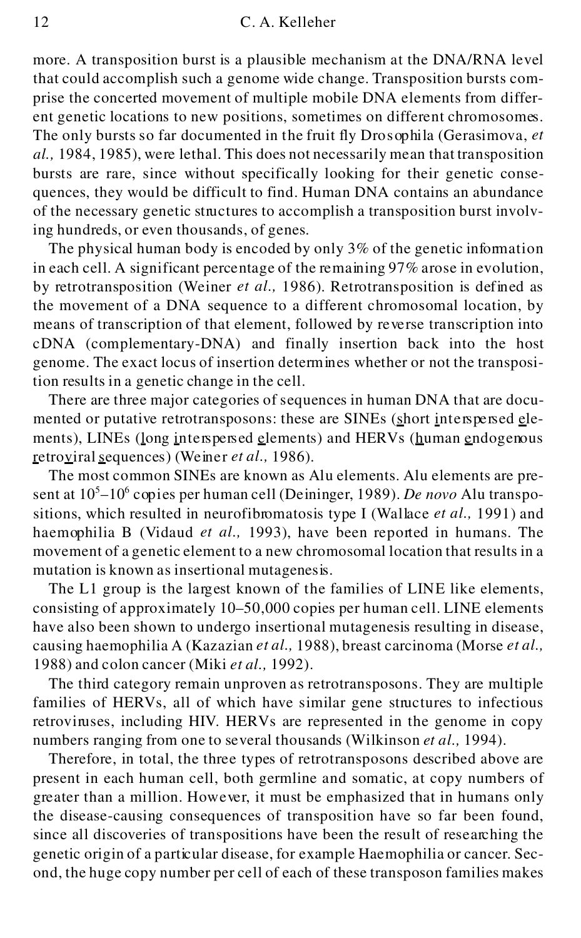#### 12 C. A. Kelleher

more. A transposition burst is a plausible mechanism at the DNA/RNA level that could accomplish such a genome wide change. Transposition bursts comprise the concerted movement of multiple mobile DNA elements from different genetic locations to new positions, sometimes on different chromosomes. The only bursts so far documented in the fruit fly Dro sophila (Gerasimova, *et al.,* 1984, 1985), were lethal. This does not necessarily mean that transposition bursts are rare, since without specifically looking for their genetic consequences, they would be difficult to find. Human DNA contains an abundance of the necessary genetic structures to accomplish a transposition burst involving hundreds, or even thousands, of genes.

The physical human body is encoded by only  $3\%$  of the genetic information in each cell. A significant percentage of the remaining 97% arose in evolution, by retrotransposition (Weiner *et al.,* 1986). Retrotransposition is defined as the movement of a DNA sequence to a different chromosomal location, by means of transcription of that element, followed by reverse transcription into cDNA (complementary-DNA) and finally insertion back into the host genome. The exact locus of insertion determines whether or not the transposition results in a genetic change in the cell.

There are three major categories of sequences in human DNA that are documented or putative retrotransposons: these are SINEs (short interspersed elements), LINEs (long interspersed elements) and HERVs (human endogenous retroviral sequences) (Weiner *et al.,* 1986).

The most common SINEs are known as Alu elements. Alu elements are present at 10<sup>5</sup>–10<sup>6</sup> copies per human cell (Deininger, 1989). *De novo* Alu transpositions, which resulted in neurofibromatosis type I (Wallace *et al.,* 1991) and haemophilia B (Vidaud *et al.,* 1993), have been reported in humans. The movement of a genetic element to a new chromosomal location that results in a mutation is known as insertional mutagenesis.

The L1 group is the largest known of the families of LINE like elements, consisting of approximately 10–50,000 copies per human cell. LINE elements have also been shown to undergo insertional mutagenesis resulting in disease, causing haemophilia A (Kazazian *et al.,* 1988), breast carcinoma (Morse *et al.,* 1988) and colon cancer (Miki *et al.,* 1992).

The third category remain unproven as retrotransposons. They are multiple families of HERVs, all of which have similar gene structures to infectious retroviruses, including HIV. HERVs are represented in the genome in copy numbers ranging from one to several thousands (Wilkinson *et al.,* 1994).

Therefore, in total, the three types of retrotransposons described above are present in each human cell, both germline and somatic, at copy numbers of greater than a million. However, it must be emphasized that in humans only the disease-causing consequences of transposition have so far been found, since all discoveries of transpositions have been the result of researching the genetic origin of a particular disease, for example Haemophilia or cancer. Second, the huge copy number per cell of each of these transposon families makes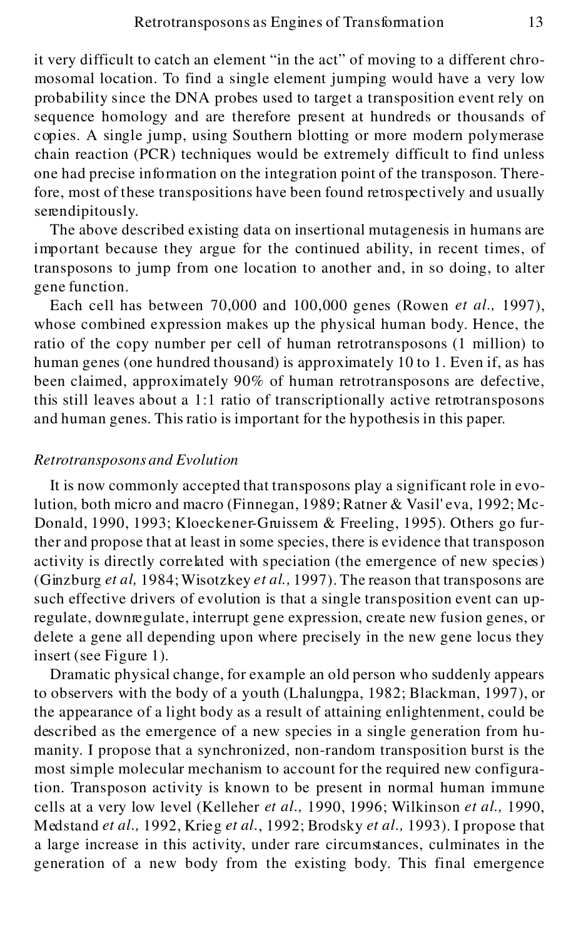it very difficult to catch an element "in the act" of moving to a different chromosomal location. To find a single element jumping would have a very low probability since the DNA probes used to target a transposition event rely on sequence homology and are therefore present at hundreds or thousands of copies. A single jump, using Southern blotting or more modern polymerase chain reaction (PCR) techniques would be extremely difficult to find unless one had precise info rmation on the integration point of the transposon. Therefore, most of these transpositions have been found retrospectively and usually serendipitously.

The above described existing data on insertional mutagenesis in humans are important because they argue for the continued ability, in recent times, of transposons to jump from one location to another and, in so doing, to alter gene function.

Each cell has between 70,000 and 100,000 genes (Rowen *et al.,* 1997), whose combined expression makes up the physical human body. Hence, the ratio of the copy number per cell of human retrotransposons (1 million) to human genes (one hundred thousand) is approximately 10 to 1. Even if, as has been claimed, approximately 90% of human retrotransposons are defective, this still leaves about a 1:1 ratio of transcriptionally active retrotransposons and human genes. This ratio is important for the hypothesis in this paper.

### *Retrotransposons and Evolution*

It is now commonly accepted that transposons play a significant role in evolution, both micro and macro (Finnegan, 1989; Ratner & Vasil'eva, 1992; Mc-Donald, 1990, 1993; Kloeckener-Gruissem & Freeling, 1995). Others go further and propose that at least in some species, there is evidence that transposon activity is directly correlated with speciation (the emergence of new species) (Ginzburg *et al,* 1984; Wisotzkey *et al.,* 1997). The reason that transposons are such effective drivers of evolution is that a single transposition event can upregulate, downregulate, interrupt gene expression, create new fusion genes, or delete a gene all depending upon where precisely in the new gene locus they insert (see Figure 1).

Dramatic physical change, for example an old person who suddenly appears to observers with the body of a youth (Lhalungpa, 1982; Blackman, 1997), or the appearance of a light body as a result of attaining enlightenment, could be described as the emergence of a new species in a single generation from humanity. I propose that a synchronized, non-random transposition burst is the most simple molecular mechanism to account for the required new configuration. Transposon activity is known to be present in normal human immune cells at a very low level (Kelleher *et al.,* 1990, 1996; Wilkinson *et al.,* 1990, Medstand *et al.,* 1992, Krieg *et al.*, 1992; Brodsky *et al.,* 1993). I propose that a large increase in this activity, under rare circumstances, culminates in the generation of a new body from the existing body. This final emergence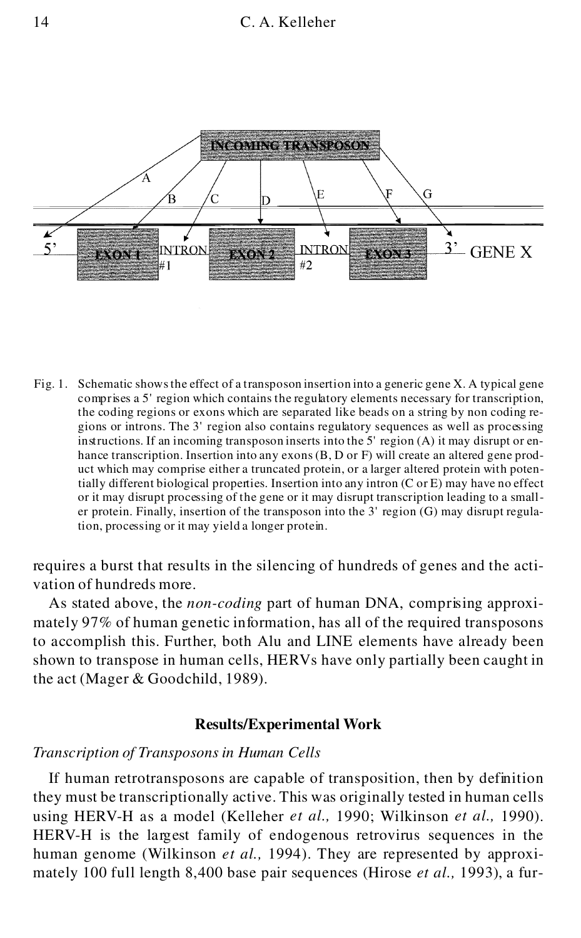

Fig. 1. Schematic shows the effect of a transposon insertion into a generic gene X. A typical gene comprises a 5' region which contains the regulatory elements necessary for transcription, the coding regions or exons which are separated like beads on a string by non coding re gions or introns. The 3' region also contains regulatory sequences as well as processing in structions. If an incoming transposon inserts into the 5' region (A) it may disrupt or enhance transcription. Insertion into any exons (B, D or F) will create an altered gene product which may comprise either a truncated protein, or a larger altered protein with potentially different biological properties. Insertion into any intron (C or E) may have no effect or it may disrupt processing of the gene or it may disrupt transcription leading to a smaller protein. Finally, insertion of the transposon into the 3' region (G) may disrupt regulation, processing or it may yield a longer protein.

requires a burst that results in the silencing of hundreds of genes and the activation of hundreds more.

As stated above, the *non-coding* part of human DNA, comprising approximately 97% of human genetic information, has all of the required transposons to accomplish this. Further, both Alu and LINE elements have already been shown to transpose in human cells, HERVs have only partially been caught in the act (Mager & Goodchild, 1989).

# **Results/Experimental Work**

#### *Transcription of Transposons in Human Cells*

If human retrotransposons are capable of transposition, then by definition they must be transcriptionally active. This was originally tested in human cells using HERV-H as a model (Kelleher *et al.,* 1990; Wilkinson *et al.,* 1990). HERV-H is the largest family of endogenous retrovirus sequences in the human genome (Wilkinson *et al.,* 1994). They are represented by approximately 100 full length 8,400 base pair sequences (Hirose *et al.,* 1993), a fur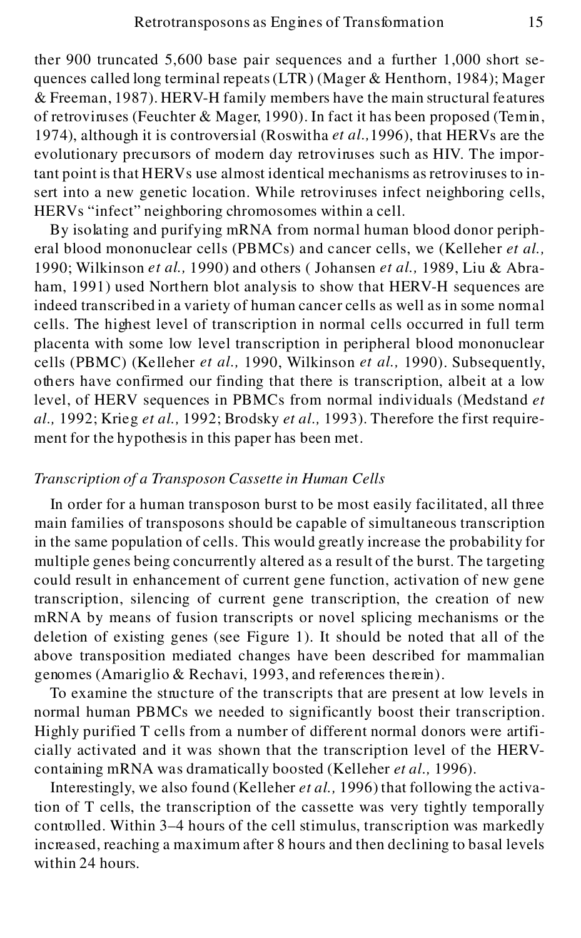ther 900 truncated 5,600 base pair sequences and a further 1,000 short sequences called long terminal repeats (LTR) (Mager & Henthorn, 1984); Mager & Freeman, 1987). HERV-H family members have the main structural features of retroviruses (Feuchter & Mager, 1990). In fact it has been proposed (Temin, 1974), although it is controversial (Roswitha *et al.,*1996), that HERVs are the evolutionary precursors of modern day retroviruses such as HIV. The important point is that HERVs use almost identical mechanisms as retroviruses to insert into a new genetic location. While retroviruses infect neighboring cells, HERVs "infect" neighboring chromosomes within a cell.

By isolating and purifying mRNA from normal human blood donor peripheral blood mononuclear cells (PBMCs) and cancer cells, we (Kelleher *et al.,* 1990; Wilkinson *et al.,* 1990) and others ( Johansen *et al.,* 1989, Liu & Abraham, 1991) used Northern blot analysis to show that HERV-H sequences are indeed transcribed in a variety of human cancer cells as well as in some normal cells. The highest level of transcription in normal cells occurred in full term placenta with some low level transcription in peripheral blood mononuclear cells (PBMC) (Kelleher *et al.,* 1990, Wilkinson *et al.,* 1990). Subsequently, others have confirmed our finding that there is transcription, albeit at a low level, of HERV sequences in PBMCs from normal individuals (Medstand *et al.,* 1992; Krieg *et al.,* 1992; Brodsky *et al.,* 1993). Therefore the first requirement for the hypothesis in this paper has been met.

# *Transcription of a Transposon Cassette in Human Cells*

In order for a human transposon burst to be most easily facilitated, all three main families of transposons should be capable of simultaneous transcription in the same population of cells. This would greatly increase the probability for multiple genes being concurrently altered as a result of the burst. The targeting could result in enhancement of current gene function, activation of new gene transcription, silencing of current gene transcription, the creation of new mRNA by means of fusion transcripts or novel splicing mechanisms or the deletion of existing genes (see Figure 1). It should be noted that all of the above transposition mediated changes have been described for mammalian genomes (Amariglio & Rechavi, 1993, and references therein).

To examine the structure of the transcripts that are present at low levels in normal human PBMCs we needed to significantly boost their transcription. Highly purified T cells from a number of different normal donors were artificially activated and it was shown that the transcription level of the HERVcontaining mRNA was dramatically boosted (Kelleher *et al.,* 1996).

Interestingly, we also found (Kelleher *et al.,* 1996) that following the activation of T cells, the transcription of the cassette was very tightly temporally controlled. Within 3–4 hours of the cell stimulus, transcription was markedly increased, reaching a maximum after 8 hours and then declining to basal levels within 24 hours.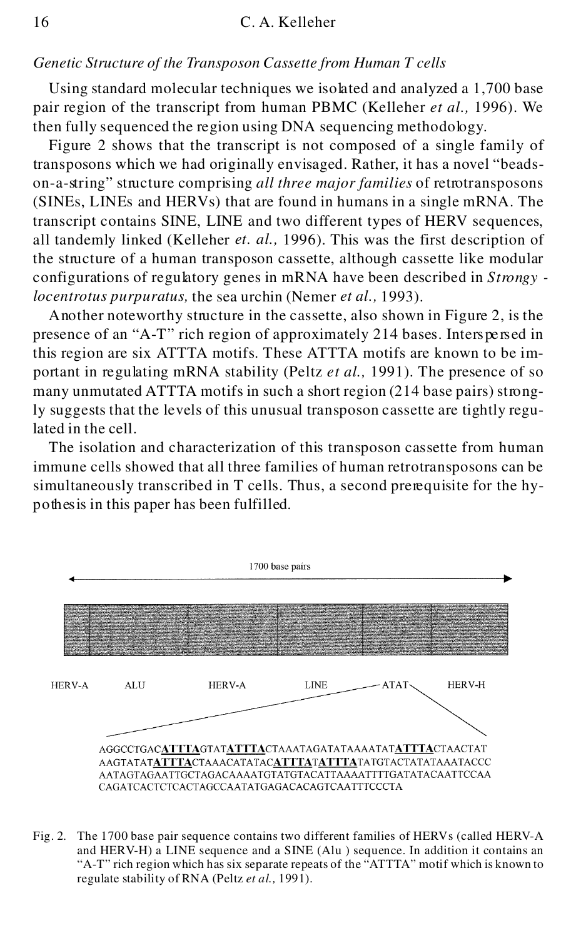#### *Genetic Structure of the Transposon Cassette from Human T cells*

Using standard molecular techniques we isolated and analyzed a 1,700 base pair region of the transcript from human PBMC (Kelleher *et al.,* 1996). We then fully sequenced the region using DNA sequencing methodology.

Figure 2 shows that the transcript is not composed of a single family of transposons which we had originally envisaged. Rather, it has a novel "beadson-a-string" structure comprising *all three major families* of retrotransposons (SINEs, LINEs and HERVs) that are found in humans in a single mRNA. The transcript contains SINE, LINE and two different types of HERV sequences, all tandemly linked (Kelleher *et. al.,* 1996). This was the first description of the structure of a human transposon cassette, although cassette like modular configurations of regulatory genes in mRNA have been described in *Strongy locentrotus purpuratus,* the sea urchin (Nemer *et al.,* 1993).

Another noteworthy structure in the cassette, also shown in Figure 2, is the presence of an "A-T" rich region of approximately 214 bases. Interspe rsed in this region are six ATTTA motifs. These ATTTA motifs are known to be important in regulating mRNA stability (Peltz *et al.,* 1991). The presence of so many unmutated ATTTA motifs in such a short region (214 base pairs) strongly suggests that the levels of this unusual transposon cassette are tightly regulated in the cell.

The isolation and characterization of this transposon cassette from human immune cells showed that all three families of human retrotransposons can be simultaneously transcribed in T cells. Thus, a second prerequisite for the hypoth esis in this paper has been fulfilled.



Fig. 2. The 1700 base pair sequence contains two different families of HERVs (called HERV-A and HERV-H) a LINE sequence and a SINE (Alu ) sequence. In addition it contains an "A-T" rich region which has six separate repeats of the "ATTTA" motif which is known to regulate stability of RNA (Peltz *et al.,* 1991).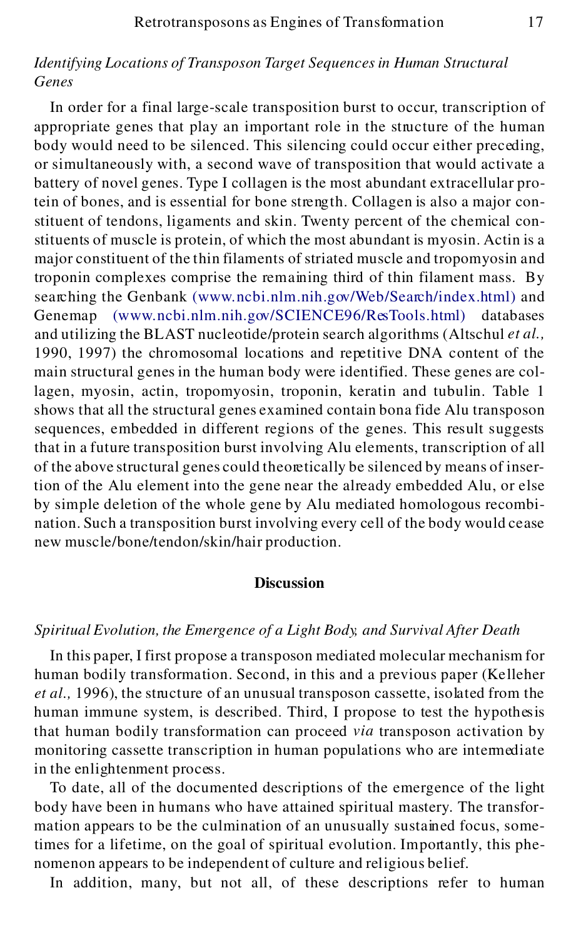# *Identifying Locations of Transposon Target Sequences in Human Structural Genes*

In order for a final large-scale transposition burst to occur, transcription of appropriate genes that play an important role in the structure of the human body would need to be silenced. This silencing could occur either preceding, or simultaneously with, a second wave of transposition that would activate a battery of novel genes. Type I collagen is the most abundant extracellular protein of bones, and is essential for bone streng th. Collagen is also a major constituent of tendons, ligaments and skin. Twenty percent of the chemical constituents of muscle is protein, of which the most abundant is myosin. Actin is a major constituent of the thin filaments of striated muscle and tropomyosin and troponin complexes comprise the remaining third of thin filament mass. By searching the Genbank [\(www.ncbi.nlm.nih.gov/Web/Search/index.html\)](http://www.ncbi.nlm.nih.gov/Web/Search/index.html%29) and Genemap [\(www.ncbi.nlm.nih.gov/SCIENCE96/ResTools.html\)](http://www.ncbi.nlm.nih.gov/SCIENCE96/ResTools.html%29) databases and utilizing the BLAST nucleotide/protein search algorithms (Altschul *et al.,* 1990, 1997) the chromosomal locations and repetitive DNA content of the main structural genes in the human body were identified. These genes are collagen, myosin, actin, tropomyosin, troponin, keratin and tubulin. Table 1 shows that all the structural genes examined contain bona fide Alu transposon sequences, embedded in different regions of the genes. This result suggests that in a future transposition burst involving Alu elements, transcription of all of the above structural genes could theoretically be silenced by means of insertion of the Alu element into the gene near the already embedded Alu, or else by simple deletion of the whole gene by Alu mediated homologous recombination. Such a transposition burst involving every cell of the body would cease new muscle/bone/tendon/skin/hair production.

# **Discussion**

# *Spiritual Evolution, the Emergence of a Light Body, and Survival After Death*

In this paper, I first propose a transposon mediated molecular mechanism for human bodily transformation. Second, in this and a previous paper (Kelleher *et al.,* 1996), the structure of an unusual transposon cassette, isolated from the human immune system, is described. Third, I propose to test the hypothesis that human bodily transformation can proceed *via* transposon activation by monitoring cassette transcription in human populations who are intermediate in the enlightenment process.

To date, all of the documented descriptions of the emergence of the light body have been in humans who have attained spiritual mastery. The transformation appears to be the culmination of an unusually sustained focus, sometimes for a lifetime, on the goal of spiritual evolution. Importantly, this phenomenon appears to be independent of culture and religious belief.

In addition, many, but not all, of these descriptions refer to human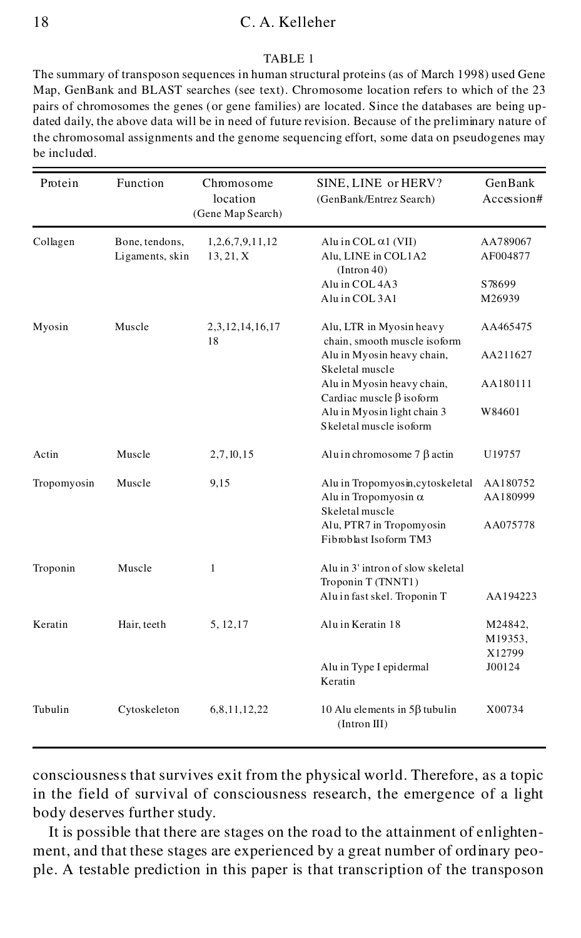### 18 C. A. Kelleher

#### TABLE 1

The summary of transposon sequences in human structural proteins (as of March 1998) used Gene Map, GenBank and BLAST searches (see text). Chromosome location refers to which of the 23 pairs of chromosomes the genes (or gene families) are located. Since the databases are being updated daily, the above data will be in need of future revision. Because of the preliminary nature of the chromosomal assignments and the genome sequencing effort, some data on pseudogenes may be included.

| Protein     | Function                          | Chromosome<br>location<br>(Gene Map Search) | SINE, LINE or HERV?<br>(GenBank/Entrez Search)                                     | GenBank<br>Accession# |
|-------------|-----------------------------------|---------------------------------------------|------------------------------------------------------------------------------------|-----------------------|
| Collagen    | Bone, tendons,<br>Ligaments, skin | 1,2,6,7,9,11,12<br>13, 21, X                | Alu in $COL \alpha1$ (VII)<br>Alu, LINE in COL1A2<br>(Intron 40)                   | AA789067<br>AF004877  |
|             |                                   |                                             | Alu in COL 4A3                                                                     | S78699                |
|             |                                   |                                             | Alu in COL 3A1                                                                     | M26939                |
| Myosin      | Muscle                            | 2,3,12,14,16,17<br>18                       | Alu, LTR in Myosin heavy<br>chain, smooth muscle isoform                           | AA465475              |
|             |                                   |                                             | Alu in Myosin heavy chain,<br>Skeletal muscle                                      | AA211627              |
|             |                                   |                                             | Alu in Myosin heavy chain,<br>Cardiac muscle $\beta$ isoform                       | AA180111              |
|             |                                   |                                             | Alu in Myosin light chain 3<br>Skeletal muscle isoform                             | W84601                |
| Actin       | Muscle                            | 2,7,10,15                                   | Alu in chromosome $7 \beta$ actin                                                  | U19757                |
| Tropomyosin | Muscle                            | 9,15                                        | Alu in Tropomyosin, cytoskeletal<br>Alu in Tropomyosin $\alpha$<br>Skeletal muscle | AA180752<br>AA180999  |
|             |                                   |                                             | Alu, PTR7 in Tropomyosin<br>Fibroblast Isoform TM3                                 | AA075778              |
| Troponin    | Muscle                            | 1                                           | Alu in 3' intron of slow skeletal<br>Troponin T (TNNT1)                            |                       |
|             |                                   |                                             | Aluin fast skel. Troponin T                                                        | AA194223              |
| Keratin     | Hair, teeth                       | 5, 12, 17                                   | Aluin Keratin 18                                                                   | M24842,<br>M19353,    |
|             |                                   |                                             | Alu in Type I epidermal<br>Keratin                                                 | X12799<br>J00124      |
| Tubulin     | Cytoskeleton                      | 6,8,11,12,22                                | 10 Alu elements in $5\beta$ tubulin<br>(Intron III)                                | X00734                |

consciousness that survives exit from the physical world. Therefore, as a topic in the field of survival of consciousness research, the emergence of a light body deserves further study.

It is possible that there are stages on the road to the attainment of enlighten ment, and that these stages are experienced by a great number of ordinary people. A testable prediction in this paper is that transcription of the transposon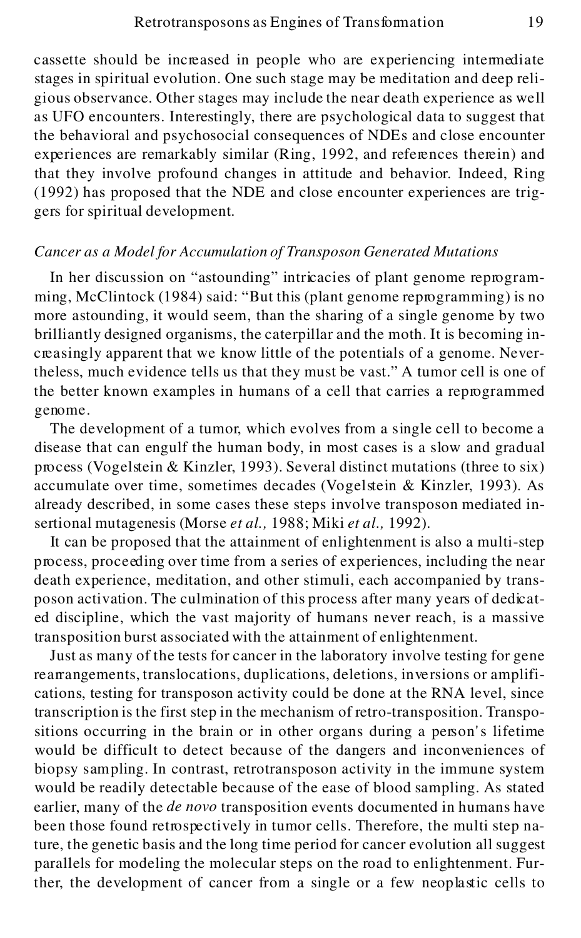cassette should be increased in people who are experiencing intermediate stages in spiritual evolution. One such stage may be meditation and deep religious observance. Other stages may include the near death experience as well as UFO encounters. Interestingly, there are psychological data to suggest that the behavioral and psychosocial consequences of NDEs and close encounter experiences are remarkably similar (Ring, 1992, and references therein) and that they involve profound changes in attitude and behavior. Indeed, Ring (1992) has proposed that the NDE and close encounter experiences are triggers for spiritual development.

# *Cancer as a Model for Accumulation of Transposon Generated Mutations*

In her discussion on "astounding" intricacies of plant genome reprogramming, McClintock (1984) said: "But this (plant genome reprogramming) is no more astounding, it would seem, than the sharing of a single genome by two brilliantly designed organisms, the caterpillar and the moth. It is becoming increasingly apparent that we know little of the potentials of a genome. Nevertheless, much evidence tells us that they must be vast." A tumor cell is one of the better known examples in humans of a cell that carries a reprogrammed genome.

The development of a tumor, which evolves from a single cell to become a disease that can engulf the human body, in most cases is a slow and gradual process (Vogelstein & Kinzler, 1993). Several distinct mutations (three to six) accumulate over time, sometimes decades (Vogelstein & Kinzler, 1993). As already described, in some cases these steps involve transposon mediated insertional mutagenesis (Morse *et al.,* 1988; Miki *et al.,* 1992).

It can be proposed that the attainment of enlightenment is also a multi-step process, proceeding over time from a series of experiences, including the near death experience, meditation, and other stimuli, each accompanied by transposon activation. The culmination of this process after many years of dedicated discipline, which the vast majority of humans never reach, is a massive transposition burst associated with the attainment of enlightenment.

Just as many of the tests for cancer in the laboratory involve testing for gene rearrangements, translocations, duplications, deletions, in versions or amplifications, testing for transposon activity could be done at the RNA level, since transcription is the first step in the mechanism of retro-transposition. Transpositions occurring in the brain or in other organs during a person's lifetime would be difficult to detect because of the dangers and inconveniences of biopsy sampling. In contrast, retrotransposon activity in the immune system would be readily detectable because of the ease of blood sampling. As stated earlier, many of the *de novo* transposition events documented in humans have been those found retrospectively in tumor cells. Therefore, the multi step nature, the genetic basis and the long time period for cancer evolution all suggest parallels for modeling the molecular steps on the road to enlightenment. Further, the development of cancer from a single or a few neoplastic cells to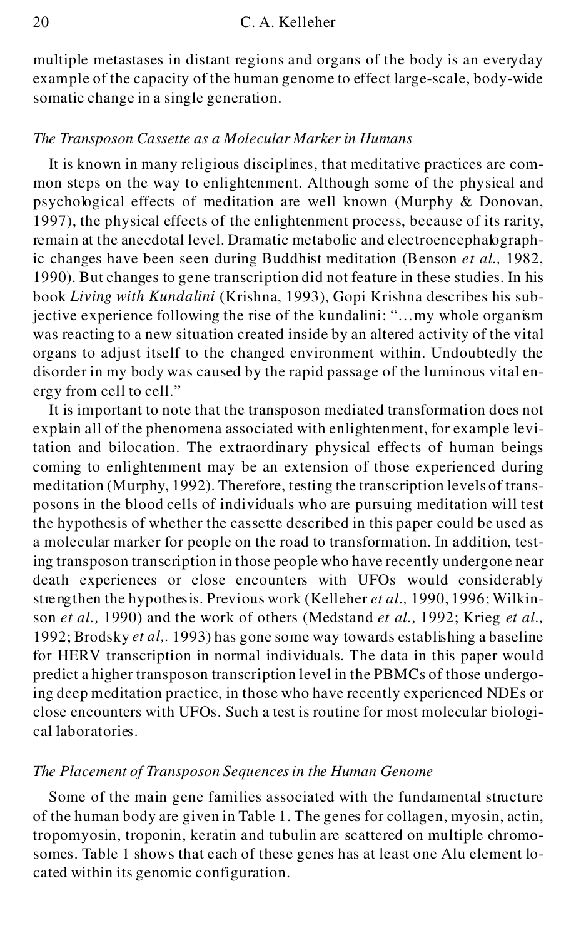multiple metastases in distant regions and organs of the body is an everyday example of the capacity of the human genome to effect large-scale, body-wide somatic change in a single generation.

#### *The Transposon Cassette as a Molecular Marker in Humans*

It is known in many religious disciplines, that meditative practices are common steps on the way to enlightenment. Although some of the physical and psychological effects of meditation are well known (Murphy & Donovan, 1997), the physical effects of the enlightenment process, because of its rarity, remain at the anecdotal level. Dramatic metabolic and electroencephalographic changes have been seen during Buddhist meditation (Benson *et al.,* 1982, 1990). But changes to gene transcription did not feature in these studies. In his book *Living with Kundalini* (Krishna, 1993), Gopi Krishna describes his subjective experience following the rise of the kundalini: "...my whole organism was reacting to a new situation created inside by an altered activity of the vital organs to adjust itself to the changed environment within. Undoubtedly the disorder in my body was caused by the rapid passage of the luminous vital energy from cell to cell."

It is important to note that the transposon mediated transformation does not explain all of the phenomena associated with enlightenment, for example levitation and bilocation. The extraordinary physical effects of human beings coming to enlightenment may be an extension of those experienced during meditation (Murphy, 1992). Therefore, testing the transcription levels of transposons in the blood cells of individuals who are pursuing meditation will test the hypothesis of whether the cassette described in this paper could be used as a molecular marker for people on the road to transformation. In addition, testing transposon transcription in those people who have recently undergone near death experiences or close encounters with UFOs would considerably streng then the hypothes is. Previous work (Kelleher et al., 1990, 1996; Wilkinson *et al.,* 1990) and the work of others (Medstand *et al.,* 1992; Krieg *et al.,* 1992; Brodsky *et al,.* 1993) has gone some way towards establishing a baseline for HERV transcription in normal individuals. The data in this paper would predict a higher transposon transcription level in the PBMCs of those undergoing deep meditation practice, in those who have recently experienced NDEs or close encounters with UFOs. Such a test is routine for most molecular biological laboratories.

#### *The Placement of Transposon Sequences in the Human Genome*

Some of the main gene families associated with the fundamental structure of the human body are given in Table 1. The genes for collagen, myosin, actin, tropomyosin, troponin, keratin and tubulin are scattered on multiple chromosomes. Table 1 shows that each of these genes has at least one Alu element located within its genomic configuration.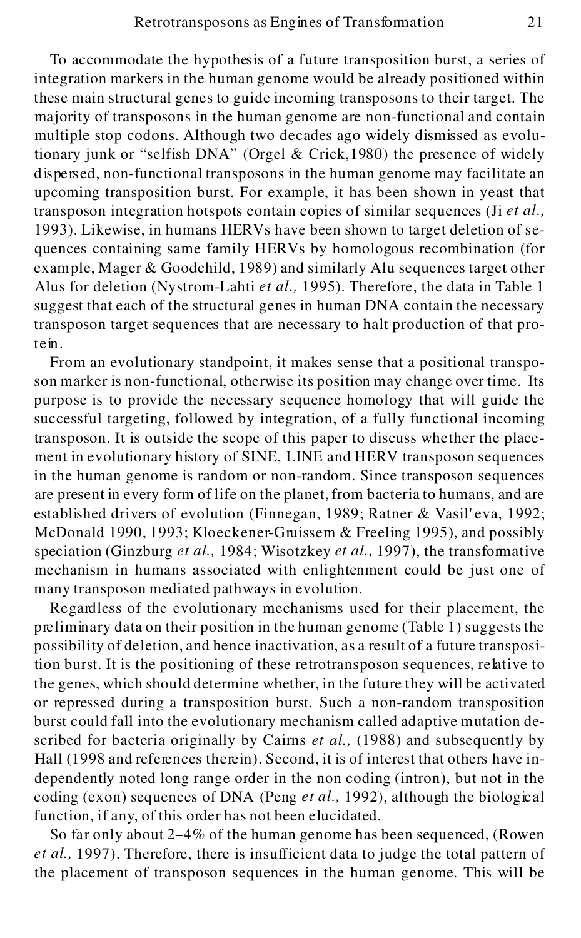To accommodate the hypothesis of a future transposition burst, a series of integration markers in the human genome would be already positioned within these main structural genes to guide incoming transposons to their target. The majority of transposons in the human genome are non-functional and contain multiple stop codons. Although two decades ago widely dismissed as evolutionary junk or "selfish DNA" (Orgel & Crick,1980) the presence of widely d ispersed, non-functional transposons in the human genome may facilitate an upcoming transposition burst. For example, it has been shown in yeast that transposon integration hotspots contain copies of similar sequences (Ji *et al.,* 1993). Likewise, in humans HERVs have been shown to target deletion of sequences containing same family HERVs by homologous recombination (for example, Mager & Goodchild, 1989) and similarly Alu sequences target other Alus for deletion (Nystrom-Lahti *et al.,* 1995). Therefore, the data in Table 1 suggest that each of the structural genes in human DNA contain the necessary transposon target sequences that are necessary to halt production of that protein.

From an evolutionary standpoint, it makes sense that a positional transposon marker is non-functional, otherwise its position may change over time. Its purpose is to provide the necessary sequence homology that will guide the successful targeting, followed by integration, of a fully functional incoming transposon. It is outside the scope of this paper to discuss whether the place ment in evolutionary history of SINE, LINE and HERV transposon sequences in the human genome is random or non-random. Since transposon sequences are present in every form of life on the planet, from bacteria to humans, and are established drivers of evolution (Finnegan, 1989; Ratner & Vasil'eva, 1992; McDonald 1990, 1993; Kloeckener-Gruissem & Freeling 1995), and possibly speciation (Ginzburg *et al.,* 1984; Wisotzkey *et al.,* 1997), the transformative mechanism in humans associated with enlightenment could be just one of many transposon mediated pathways in evolution.

Regardless of the evolutionary mechanisms used for their placement, the preliminary data on their position in the human genome (Table 1) suggests the possibility of deletion, and hence inactivation, as a result of a future transposition burst. It is the positioning of these retrotransposon sequences, relative to the genes, which should determine whether, in the future they will be activated or repressed during a transposition burst. Such a non-random transposition burst could fall into the evolutionary mechanism called adaptive mutation described for bacteria originally by Cairns *et al.,* (1988) and subsequently by Hall (1998 and references therein). Second, it is of interest that others have independently noted long range order in the non coding (intron), but not in the coding (exon) sequences of DNA (Peng *et al.,* 1992), although the biological function, if any, of this order has not been elucidated.

So far only about 2–4% of the human genome has been sequenced, (Rowen *et al.,* 1997). Therefore, there is insufficient data to judge the total pattern of the placement of transposon sequences in the human genome. This will be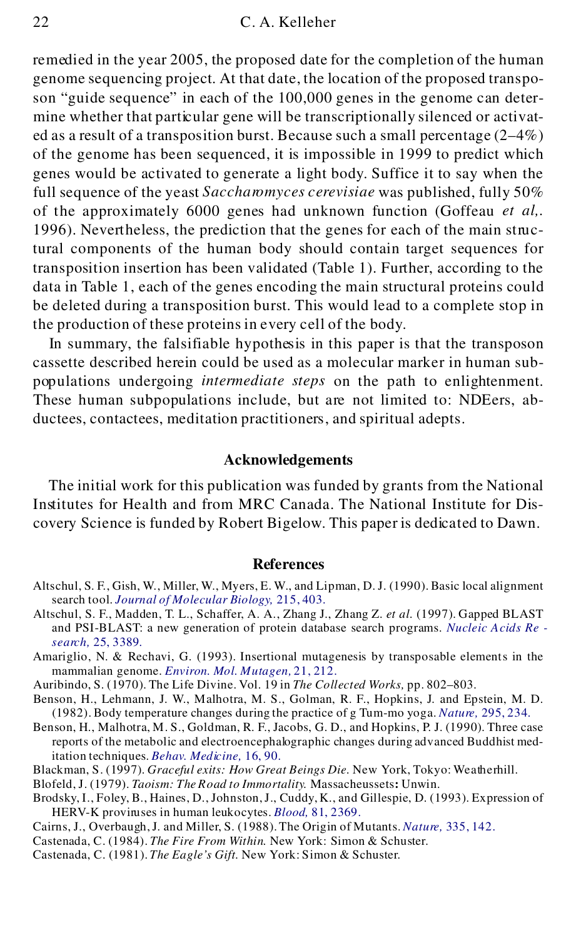remedied in the year 2005, the proposed date for the completion of the human genome sequencing project. At that date, the location of the proposed transposon "guide sequence" in each of the 100,000 genes in the genome can determine whether that particular gene will be transcriptionally silenced or activat ed as a result of a transposition burst. Because such a small percentage  $(2-4\%)$ of the genome has been sequenced, it is impossible in 1999 to predict which genes would be activated to generate a light body. Suffice it to say when the full sequence of the yeast *Saccharomyces cerevisiae* was published, fully 50% of the approximately 6000 genes had unknown function (Goffeau *et al,.* 1996). Nevertheless, the prediction that the genes for each of the main structural components of the human body should contain target sequences for transposition insertion has been validated (Table 1). Further, according to the data in Table 1, each of the genes encoding the main structural proteins could be deleted during a transposition burst. This would lead to a complete stop in the production of these proteins in every cell of the body.

In summary, the falsifiable hypothesis in this paper is that the transposon cassette described herein could be used as a molecular marker in human subpopulations undergoing *intermediate steps* on the path to enlightenment. These human subpopulations include, but are not limited to: NDEers, abductees, contactees, meditation practitioners, and spiritual adepts.

### **Acknowledgements**

The initial work for this publication was funded by grants from the National Institutes for Health and from MRC Canada. The National Institute for Discovery Science is funded by Robert Bigelow. This paper is dedicated to Dawn.

#### **References**

- Altschul, S. F., Gish, W., Miller, W., Myers, E. W., and Lipman, D. J. (1990). Basic local alignment search tool. *[Journal of Molecular Biology,](http://www.ingentaselect.com/rpsv/cgi-bin/linker?ext=a&reqidx=/0022-2836^28^29215L.403[aid=36481,csa=0022-2836^26vol=215^26iss=3^26firstpage=403,nlm=2231712])* 215, 403.
- Altschul, S. F., Madden, T. L., Schaffer, A. A., Zhang J., Zhang Z. *et al.* (1997). Gapped BLAST and PSI-BLAST: a new generation of protein database search programs. *[Nucleic Acids Re](http://www.ingentaselect.com/rpsv/cgi-bin/linker?ext=a&reqidx=/0305-1048^28^2925L.3389[aid=169323,csa=0305-1048^26vol=25^26iss=17^26firstpage=3389,nlm=9254694]) search,* [25, 3389.](http://www.ingentaselect.com/rpsv/cgi-bin/linker?ext=a&reqidx=/0305-1048^28^2925L.3389[aid=169323,csa=0305-1048^26vol=25^26iss=17^26firstpage=3389,nlm=9254694])
- Amariglio, N. & Rechavi, G. (1993). Insertional mutagenesis by transposable elements in the mammalian genome. *[Environ. Mol. Mutagen,](http://www.ingentaselect.com/rpsv/cgi-bin/linker?ext=a&reqidx=/0893-6692^28^2921L.212[aid=569084,csa=0893-6692^26vol=21^26iss=3^26firstpage=212,nlm=8385004])* 21, 212.
- Auribindo, S. (1970). The Life Divine. Vol. 19 in *The Collected Works,* pp. 802–803.
- Benson, H., Lehmann, J. W., Malhotra, M. S., Golman, R. F., Hopkins, J. and Epstein, M. D. (1982). Body temperature changes during the practice of g Tum-mo yoga. *Natu re,* [295, 234.](http://www.ingentaselect.com/rpsv/cgi-bin/linker?ext=a&reqidx=/0028-0836^28^29295L.234[aid=569085,nlm=7035966])
- Benson, H., Malhotra, M. S., Goldman, R. F., Jacobs, G. D., and Hopkins, P. J. (1990). Three case reports of the metabolic and electroencephalographic changes during advanced Buddhist meditation techniques. *[Behav. Med icine,](http://www.ingentaselect.com/rpsv/cgi-bin/linker?ext=a&reqidx=/0896-4289^28^2916L.90[aid=569086,csa=0896-4289^26vol=16^26iss=2^26firstpage=90,nlm=2194593])* 16, 90.
- Blackman, S. (1997). *Graceful exits: How Great Beings Die.* New York, Tokyo: Weatherhill.
- Blofeld, J. (1979). *Taoism: The Road to Immortality.* Massacheussets**:** Unwin.
- Brodsky, I., Foley, B., Haines, D., Johnston,J., Cuddy, K., and Gillespie, D. (1993). Expression of HERV-K provinuses in human leukocytes. *Blood*, [81, 2369.](http://www.ingentaselect.com/rpsv/cgi-bin/linker?ext=a&reqidx=/0006-4971^28^2981L.2369[aid=569087,csa=0006-4971^26vol=81^26iss=9^26firstpage=2369,nlm=7683217])
- Cairns, J., Overbaugh, J. and Miller, S. (1988). The Origin of Mutants. *Nature,* [335, 142.](http://www.ingentaselect.com/rpsv/cgi-bin/linker?ext=a&reqidx=/0028-0836^28^29335L.142[aid=523491,csa=0028-0836^26vol=335^26iss=6168^26firstpage=142,nlm=3045565])
- Castenada, C. (1984). *The Fire From Within.* New York: Simon & Schuster.
- Castenada, C. (1981). *The Eagle's Gift.* New York: Simon & Schuster.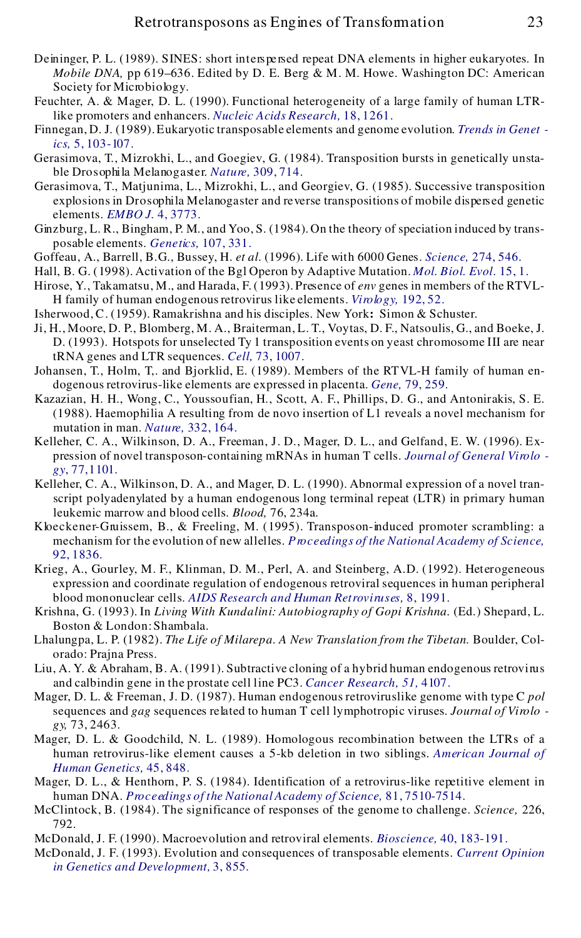- Deininger, P. L. (1989). SINES: short interspersed repeat DNA elements in higher eukaryotes. In *Mobile DNA,* pp 619–636. Edited by D. E. Berg & M. M. Howe. Washington DC: American Society for Microbiology.
- Feuchter, A. & Mager, D. L. (1990). Functional heterogeneity of a large family of human LTRlike promoters and enhancers. *[Nucleic Acids Research,](http://www.ingentaselect.com/rpsv/cgi-bin/linker?ext=a&reqidx=/0305-1048^28^2918L.1261[aid=569088,csa=0305-1048^26vol=18^26iss=5^26firstpage=1261,nlm=1690875])* 18, 1261.
- Fin[negan, D. J. \(1989\). Eukaryotic transposable elements and genome evolution.](http://www.ingentaselect.com/rpsv/cgi-bin/linker?ext=a&reqidx=/0168-9525^28^295L.103[aid=569089,csa=0168-9525^26vol=5^26iss=4^26firstpage=103,nlm=2543105]) *[Trends in Genet](http://www.ingentaselect.com/rpsv/cgi-bin/linker?ext=a&reqidx=/0168-9525^28^295L.103[aid=569089,csa=0168-9525^26vol=5^26iss=4^26firstpage=103,nlm=2543105]) ics,* 5, 103 -107 .
- Gerasimova, T., Mizrokhi, L., and Goegiev, G. (1984). Transposition bursts in genetically unsta ble Dro sophi la Melano gaster. *Nature,* [309, 714.](http://www.ingentaselect.com/rpsv/cgi-bin/linker?ext=a&reqidx=/0028-0836^28^29309L.714[aid=569090,csa=0028-0836^26vol=309^26iss=5970^26firstpage=714])
- Gerasimova, T., Matjunima, L., Mizrokhi, L., and Georgiev, G. (1985). Successive transposition explosions in Drosophila Melanogaster and reverse transpositions of mobile dispersed genetic elements. *[EMBO J.](http://www.ingentaselect.com/rpsv/cgi-bin/linker?ext=a&reqidx=/0261-4189^28^294L.3773[aid=569091])* 4, 3773.
- Ginzburg, L. R., Bingham, P. M., and Yoo, S. (1984). On the theory of speciation induced by transposable elements. *Genetics*, 107, 331.
- Goffeau, A., Barrell, B.G., Bussey, H. *et al.* (1996). Life with 6000 Genes. *Science,* [274, 546.](http://www.ingentaselect.com/rpsv/cgi-bin/linker?ext=a&reqidx=/0036-8075^28^29274L.546[aid=569093,csa=0036-8075^26vol=274^26iss=5287^26firstpage=546,nlm=8849441])
- Hall, B. G. (1998). Activation of the Bgl Operon by Adaptive Mutation. *[Mol. Biol. Evol.](http://www.ingentaselect.com/rpsv/cgi-bin/linker?ext=a&reqidx=/0737-4038^28^2915L.1[aid=569094,csa=0737-4038^26vol=15^26iss=1^26firstpage=1,nlm=9491599])* 15, 1.
- Hirose, Y., Takamatsu, M., and Harada, F. (1993). Presence of *env* genes in members of the RTVL- H family of human endogenousretrovirus like elements. *[Virology,](http://www.ingentaselect.com/rpsv/cgi-bin/linker?ext=a&reqidx=/0042-6822^28^29192L.52[aid=569095,csa=0042-6822^26vol=192^26iss=1^26firstpage=52,nlm=8517031])* 192, 52.
- Isherwood, C. (1959). Ramakrishna and his disciples. New York**:** Simon & Schuster.
- Ji, H., Moore, D. P., Blomberg, M. A., Braiterman, L. T., Voytas, D. F., Natsoulis, G., and Boeke, J. D. (1993). Hotspots for unselected Ty 1 transposition events on yeast chromosome III are near tRNA genes and LTR sequences. *Cell,* [73, 1007.](http://www.ingentaselect.com/rpsv/cgi-bin/linker?ext=a&reqidx=/0092-8674^28^2973L.1007[aid=569096,csa=0092-8674^26vol=73^26iss=5^26firstpage=1007,nlm=8388781])
- Johansen, T., Holm, T,. and Bjorklid, E. (1989). Members of the RTVL-H family of human en dogenous retrovirus-like elements are expressed in placenta. *Gene,* [79, 259.](http://www.ingentaselect.com/rpsv/cgi-bin/linker?ext=a&reqidx=/0378-1119^28^2979L.259[aid=569097,csa=0378-1119^26vol=79^26iss=2^26firstpage=259,nlm=2551777])
- Kazazian, H. H., Wong, C., Youssoufian, H., Scott, A. F., Phillips, D. G., and Antonirakis, S. E. (1988). Haemophilia A resulting from de novo insertion of L1 reveals a novel mechanism for mutation in man. *Nature,* [332, 164.](http://www.ingentaselect.com/rpsv/cgi-bin/linker?ext=a&reqidx=/0028-0836^28^29332L.164[aid=569098,csa=0028-0836^26vol=332^26iss=6160^26firstpage=164,nlm=2831458])
- Kelleher, C. A., Wilkinson, D. A., Freeman, J. D., Mager, D. L., and Gelfand, E. W. (1996). Ex pression of novel transposon-containing mRNAs in human T cells. *[Journal of General Viro lo](http://www.ingentaselect.com/rpsv/cgi-bin/linker?ext=a&reqidx=/0022-1317^28^2977L.1101[aid=569099,csa=0022-1317^26vol=77^26iss=5^26firstpage=1101,nlm=8609476]) gy*[, 77,1101.](http://www.ingentaselect.com/rpsv/cgi-bin/linker?ext=a&reqidx=/0022-1317^28^2977L.1101[aid=569099,csa=0022-1317^26vol=77^26iss=5^26firstpage=1101,nlm=8609476])
- Kelleher, C. A., Wilkinson, D. A., and Mager, D. L. (1990). Abnormal expression of a novel transcript polyadenylated by a human endogenous long terminal repeat (LTR) in primary human leukemic marrow and blood cells. *Blood,* 76, 234a.
- Kloeckener-Gru issem, B., & Freeling, M. (1995). Transposon-induced promoter scrambling: a mechanism for the evolution of new allelles. *[Pro ceedings of the National](http://www.ingentaselect.com/rpsv/cgi-bin/linker?ext=a&reqidx=/0027-8424^28^2992L.1836[aid=569101,csa=0027-8424^26vol=92^26iss=6^26firstpage=1836,nlm=7892187]) Academy of Science,* [92, 1836.](http://www.ingentaselect.com/rpsv/cgi-bin/linker?ext=a&reqidx=/0027-8424^28^2992L.1836[aid=569101,csa=0027-8424^26vol=92^26iss=6^26firstpage=1836,nlm=7892187])
- Krieg, A., Gourley, M. F., Klinman, D. M., Perl, A. and Steinberg, A.D. (1992). Heterogeneous expression and coordinate regulation of endogenous retroviral sequences in human peripheral blood mononuclear cells. *[AIDS Research and Human Retroviru ses,](http://www.ingentaselect.com/rpsv/cgi-bin/linker?ext=a&reqidx=/0889-2229^28^298L.1991[aid=569102,nlm=1493049])* 8, 1991.
- Krishna, G. (1993). In *Living With Kundalini: Autobiography of Gopi Krishna.* (Ed.) Shepard, L. Boston & London: Shambala.
- Lhalungpa, L. P. (1982). *The Life of Milarepa. A New Translation from the Tibetan.* Boulder, Colorado: Prajna Press.
- Liu, A. Y. & Abraham, B. A. (1991). Subtractive cloning of a hybrid human endogenous retrovings and calbindin gene in the prostate cell line PC3. *[Cancer Research, 51,](http://www.ingentaselect.com/rpsv/cgi-bin/linker?ext=a&reqidx=/0008-5472^28^2951L.4107[aid=569103,csa=0008-5472^26vol=51^26iss=15^26firstpage=4107,nlm=1713126])* 4107 .
- Mager, D. L. & Freeman, J. D. (1987). Human endogenous retroviruslike genome with type C *pol* sequences and *gag* sequences related to human T cell lymphotropic viruses. *Journal of Viro lo gy,* 73, 2463.
- Mager, D. L. & Goodchild, N. L. (1989). Homologous recombination between the LTRs of a human retrovirus-like element causes a 5-kb deletion in two siblings. *[American Journal of](http://www.ingentaselect.com/rpsv/cgi-bin/linker?ext=a&reqidx=/0002-9297^28^2945L.848[aid=569105,csa=0002-9297^26vol=45^26iss=6^26firstpage=848,nlm=2573998]) [Human Genetics,](http://www.ingentaselect.com/rpsv/cgi-bin/linker?ext=a&reqidx=/0002-9297^28^2945L.848[aid=569105,csa=0002-9297^26vol=45^26iss=6^26firstpage=848,nlm=2573998])* 45, 848.
- Mager, D. L., & Henthorn, P. S. (1984). Identification of a retrovirus-like repetitive element in human DNA. *[Pro ceed ings of the National Academy of Science,](http://www.ingentaselect.com/rpsv/cgi-bin/linker?ext=a&reqidx=/0027-8424^28^2981L.7510[aid=569106,csa=0027-8424^26vol=81^26iss=23^26firstpage=7510,nlm=6095301])* 81, 7510-7514.
- McClintock, B. (1984). The significance of responses of the genome to challenge. *Science,* 226, 792.
- McDonald, J. F. (1990). Macroevolution and retroviral elements. *Bioscience,* [40, 183-191.](http://www.ingentaselect.com/rpsv/cgi-bin/linker?ext=a&reqidx=/0006-3568^28^2940L.183[aid=569108,csa=0006-3568^26vol=40^26iss=3^26firstpage=183])
- McDonald, J. F. (1993). Evolution and consequences of transposable elements. *[Current Opinion](http://www.ingentaselect.com/rpsv/cgi-bin/linker?ext=a&reqidx=/0959-437X^28^293L.855[aid=569109,csa=0959-437X^26vol=3^26iss=6^26firstpage=855]) [in Genetics and Development,](http://www.ingentaselect.com/rpsv/cgi-bin/linker?ext=a&reqidx=/0959-437X^28^293L.855[aid=569109,csa=0959-437X^26vol=3^26iss=6^26firstpage=855])* 3, 855.